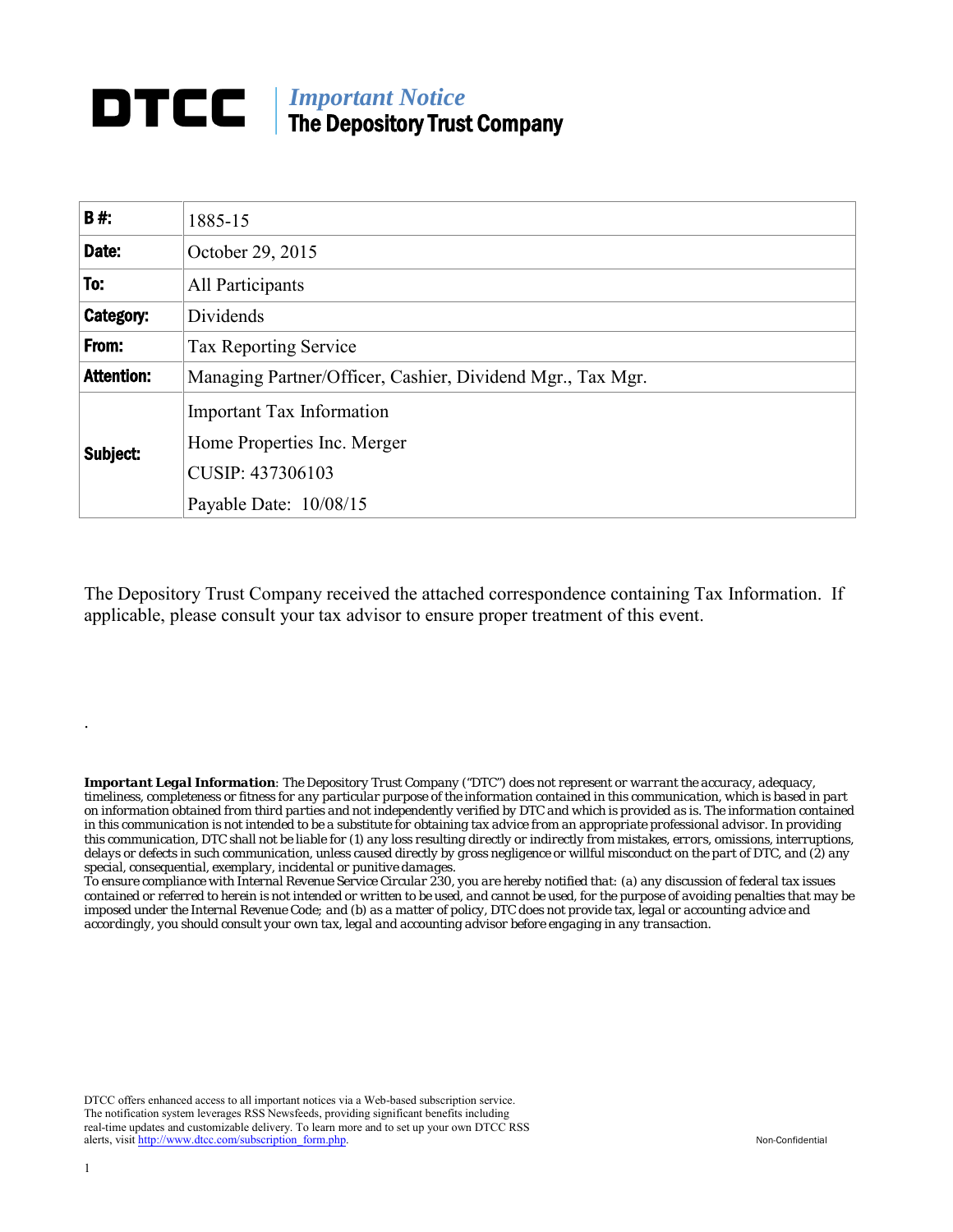# **DTCC** | *Important Notice* The Depository Trust Company

| <b>B#:</b>        | 1885-15                                                         |
|-------------------|-----------------------------------------------------------------|
| Date:             | October 29, 2015                                                |
| To:               | All Participants                                                |
| Category:         | Dividends                                                       |
| From:             | <b>Tax Reporting Service</b>                                    |
| <b>Attention:</b> | Managing Partner/Officer, Cashier, Dividend Mgr., Tax Mgr.      |
| Subject:          | <b>Important Tax Information</b><br>Home Properties Inc. Merger |
|                   | CUSIP: 437306103                                                |
|                   | Payable Date: 10/08/15                                          |

The Depository Trust Company received the attached correspondence containing Tax Information. If applicable, please consult your tax advisor to ensure proper treatment of this event.

*Important Legal Information: The Depository Trust Company ("DTC") does not represent or warrant the accuracy, adequacy, timeliness, completeness or fitness for any particular purpose of the information contained in this communication, which is based in part on information obtained from third parties and not independently verified by DTC and which is provided as is. The information contained in this communication is not intended to be a substitute for obtaining tax advice from an appropriate professional advisor. In providing this communication, DTC shall not be liable for (1) any loss resulting directly or indirectly from mistakes, errors, omissions, interruptions, delays or defects in such communication, unless caused directly by gross negligence or willful misconduct on the part of DTC, and (2) any special, consequential, exemplary, incidental or punitive damages.*

*To ensure compliance with Internal Revenue Service Circular 230, you are hereby notified that: (a) any discussion of federal tax issues contained or referred to herein is not intended or written to be used, and cannot be used, for the purpose of avoiding penalties that may be imposed under the Internal Revenue Code; and (b) as a matter of policy, DTC does not provide tax, legal or accounting advice and accordingly, you should consult your own tax, legal and accounting advisor before engaging in any transaction.*

DTCC offers enhanced access to all important notices via a Web-based subscription service. The notification system leverages RSS Newsfeeds, providing significant benefits including real-time updates and customizable delivery. To learn more and to set up your own DTCC RSS alerts, visit [http://www.dtcc.com/subscription\\_form.php.](http://www.dtcc.com/subscription_form.php) Non-Confidential

.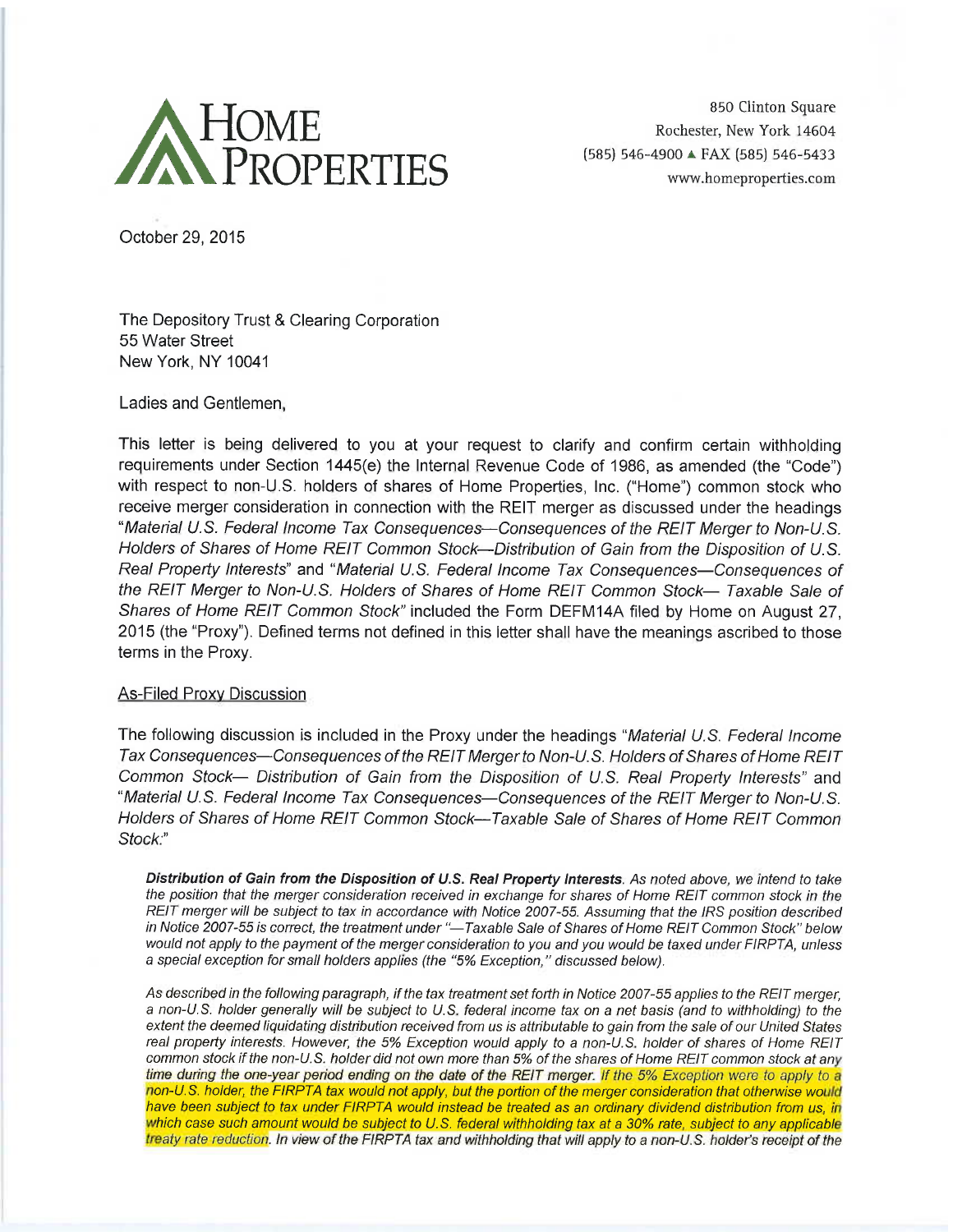

850 Clinton Square Rochester, New York 14604 (585) 546-4900 ▲ FAX (585) 546-5433 www.homeproperties.com

October 29, 2015

The Depository Trust & Clearing Corporation 55 Water Street New York, NY 10041

Ladies and Gentlemen,

This letter is being delivered to you at your request to clarify and confirm certain withholding requirements under Section 1445(e) the Internal Revenue Code of 1986, as amended (the "Code") with respect to non-U.S. holders of shares of Home Properties, Inc. ("Home") common stock who receive merger consideration in connection with the REIT merger as discussed under the headings "Material U.S. Federal Income Tax Consequences—Consequences of the REIT Merger to Non-U.S. Holders of Shares of Home REIT Common Stock--Distribution of Gain from the Disposition of U.S. Real Property Interests" and "Material U.S. Federal Income Tax Consequences—Consequences of the REIT Merger to Non-U.S. Holders of Shares of Home REIT Common Stock- Taxable Sale of Shares of Home REIT Common Stock" included the Form DEFM14A filed by Home on August 27. 2015 (the "Proxy"). Defined terms not defined in this letter shall have the meanings ascribed to those terms in the Proxy.

#### **As-Filed Proxy Discussion**

The following discussion is included in the Proxy under the headings "Material U.S. Federal Income Tax Consequences—Consequences of the REIT Merger to Non-U.S. Holders of Shares of Home REIT Common Stock- Distribution of Gain from the Disposition of U.S. Real Property Interests" and "Material U.S. Federal Income Tax Consequences—Consequences of the REIT Merger to Non-U.S. Holders of Shares of Home REIT Common Stock—Taxable Sale of Shares of Home REIT Common Stock:"

Distribution of Gain from the Disposition of U.S. Real Property Interests. As noted above, we intend to take the position that the merger consideration received in exchange for shares of Home REIT common stock in the REIT merger will be subject to tax in accordance with Notice 2007-55. Assuming that the IRS position described in Notice 2007-55 is correct, the treatment under "-Taxable Sale of Shares of Home REIT Common Stock" below would not apply to the payment of the merger consideration to you and you would be taxed under FIRPTA, unless a special exception for small holders applies (the "5% Exception," discussed below).

As described in the following paragraph, if the tax treatment set forth in Notice 2007-55 applies to the REIT merger, a non-U.S. holder generally will be subject to U.S. federal income tax on a net basis (and to withholding) to the extent the deemed liquidating distribution received from us is attributable to gain from the sale of our United States real property interests. However, the 5% Exception would apply to a non-U.S. holder of shares of Home REIT common stock if the non-U.S. holder did not own more than 5% of the shares of Home REIT common stock at any time during the one-year period ending on the date of the REIT merger. If the 5% Exception were to apply to a non-U.S. holder, the FIRPTA tax would not apply, but the portion of the merger consideration that otherwise would have been subject to tax under FIRPTA would instead be treated as an ordinary dividend distribution from us, in which case such amount would be subject to U.S. federal withholding tax at a 30% rate, subject to any applicable treaty rate reduction. In view of the FIRPTA tax and withholding that will apply to a non-U.S. holder's receipt of the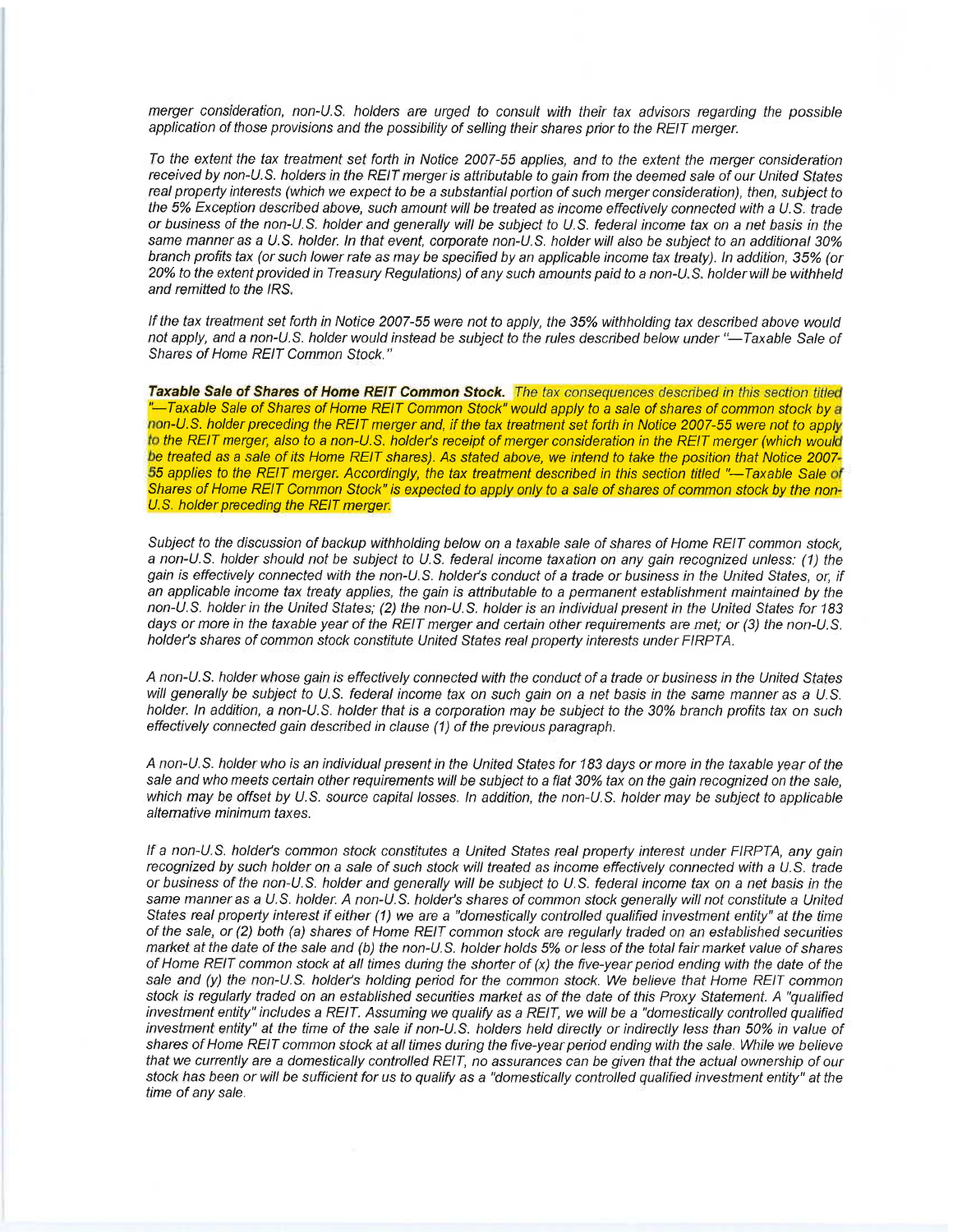merger consideration, non-U.S. holders are urged to consult with their tax advisors regarding the possible application of those provisions and the possibility of selling their shares prior to the REIT merger.

To the extent the tax treatment set forth in Notice 2007-55 applies, and to the extent the merger consideration received by non-U.S. holders in the REIT merger is attributable to gain from the deemed sale of our United States real property interests (which we expect to be a substantial portion of such merger consideration), then, subject to the 5% Exception described above, such amount will be treated as income effectively connected with a U.S. trade or business of the non-U.S. holder and generally will be subject to U.S. federal income tax on a net basis in the same manner as a U.S. holder. In that event, corporate non-U.S. holder will also be subject to an additional 30% branch profits tax (or such lower rate as may be specified by an applicable income tax treaty). In addition, 35% (or 20% to the extent provided in Treasury Regulations) of any such amounts paid to a non-U.S. holder will be withheld and remitted to the IRS.

If the tax treatment set forth in Notice 2007-55 were not to apply, the 35% withholding tax described above would not apply, and a non-U.S. holder would instead be subject to the rules described below under "-Taxable Sale of Shares of Home REIT Common Stock."

Taxable Sale of Shares of Home REIT Common Stock. The tax consequences described in this section titled -Taxable Sale of Shares of Home REIT Common Stock" would apply to a sale of shares of common stock by a non-U.S. holder preceding the REIT merger and, if the tax treatment set forth in Notice 2007-55 were not to apply to the REIT merger, also to a non-U.S. holder's receipt of merger consideration in the REIT merger (which would be treated as a sale of its Home REIT shares). As stated above, we intend to take the position that Notice 2007-55 applies to the REIT merger. Accordingly, the tax treatment described in this section titled "-Taxable Sale of Shares of Home REIT Common Stock" is expected to apply only to a sale of shares of common stock by the non-U.S. holder preceding the REIT merger.

Subject to the discussion of backup withholding below on a taxable sale of shares of Home REIT common stock. a non-U.S. holder should not be subject to U.S. federal income taxation on any gain recognized unless: (1) the gain is effectively connected with the non-U.S. holder's conduct of a trade or business in the United States, or, if an applicable income tax treaty applies, the gain is attributable to a permanent establishment maintained by the non-U.S. holder in the United States; (2) the non-U.S. holder is an individual present in the United States for 183 days or more in the taxable year of the REIT merger and certain other requirements are met; or (3) the non-U.S. holder's shares of common stock constitute United States real property interests under FIRPTA.

A non-U.S. holder whose gain is effectively connected with the conduct of a trade or business in the United States will generally be subject to U.S. federal income tax on such gain on a net basis in the same manner as a U.S. holder. In addition, a non-U.S. holder that is a corporation may be subject to the 30% branch profits tax on such effectively connected gain described in clause (1) of the previous paragraph.

A non-U.S. holder who is an individual present in the United States for 183 days or more in the taxable year of the sale and who meets certain other requirements will be subject to a flat 30% tax on the gain recognized on the sale, which may be offset by U.S. source capital losses. In addition, the non-U.S. holder may be subject to applicable alternative minimum taxes.

If a non-U.S. holder's common stock constitutes a United States real property interest under FIRPTA, any gain recognized by such holder on a sale of such stock will treated as income effectively connected with a U.S. trade or business of the non-U.S. holder and generally will be subject to U.S. federal income tax on a net basis in the same manner as a U.S. holder. A non-U.S. holder's shares of common stock generally will not constitute a United States real property interest if either (1) we are a "domestically controlled qualified investment entity" at the time of the sale, or (2) both (a) shares of Home REIT common stock are regularly traded on an established securities market at the date of the sale and (b) the non-U.S. holder holds 5% or less of the total fair market value of shares of Home REIT common stock at all times during the shorter of (x) the five-year period ending with the date of the sale and (y) the non-U.S. holder's holding period for the common stock. We believe that Home REIT common stock is regularly traded on an established securities market as of the date of this Proxy Statement. A "qualified investment entity" includes a REIT. Assuming we qualify as a REIT, we will be a "domestically controlled qualified investment entity" at the time of the sale if non-U.S. holders held directly or indirectly less than 50% in value of shares of Home REIT common stock at all times during the five-year period ending with the sale. While we believe that we currently are a domestically controlled REIT, no assurances can be given that the actual ownership of our stock has been or will be sufficient for us to qualify as a "domestically controlled qualified investment entity" at the time of any sale.